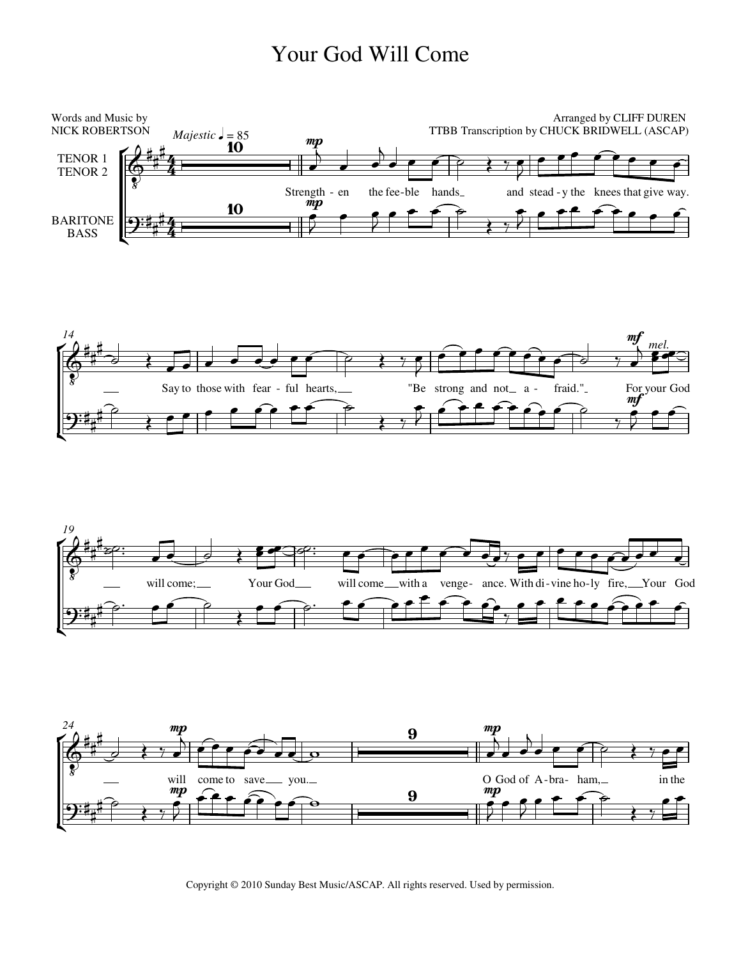## Your God Will Come









Copyright © 2010 Sunday Best Music/ASCAP. All rights reserved. Used by permission.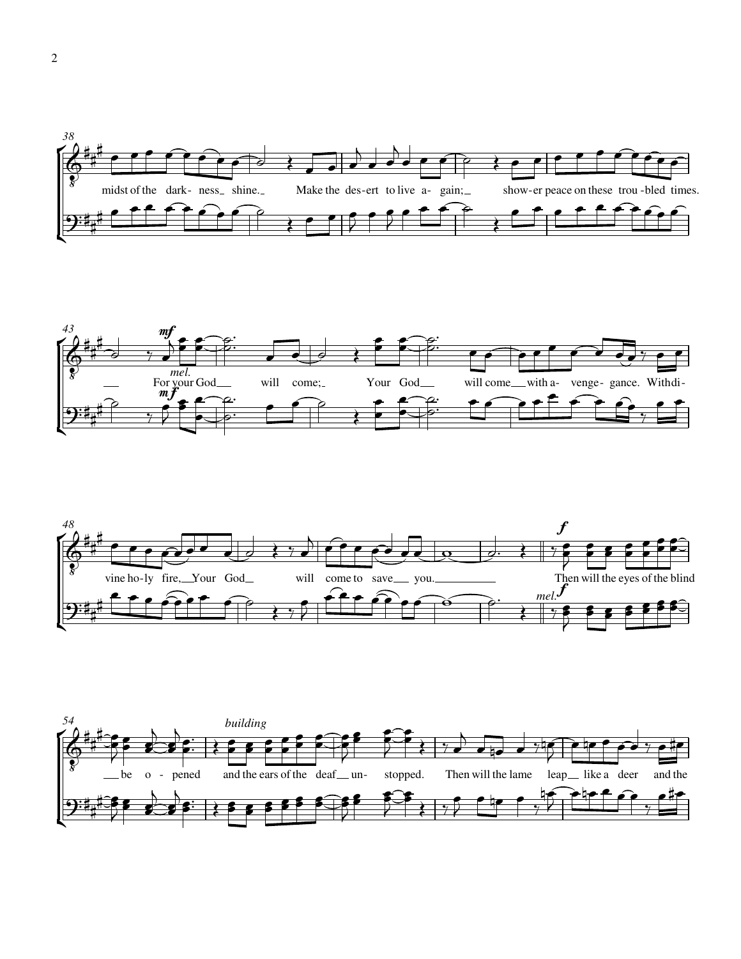





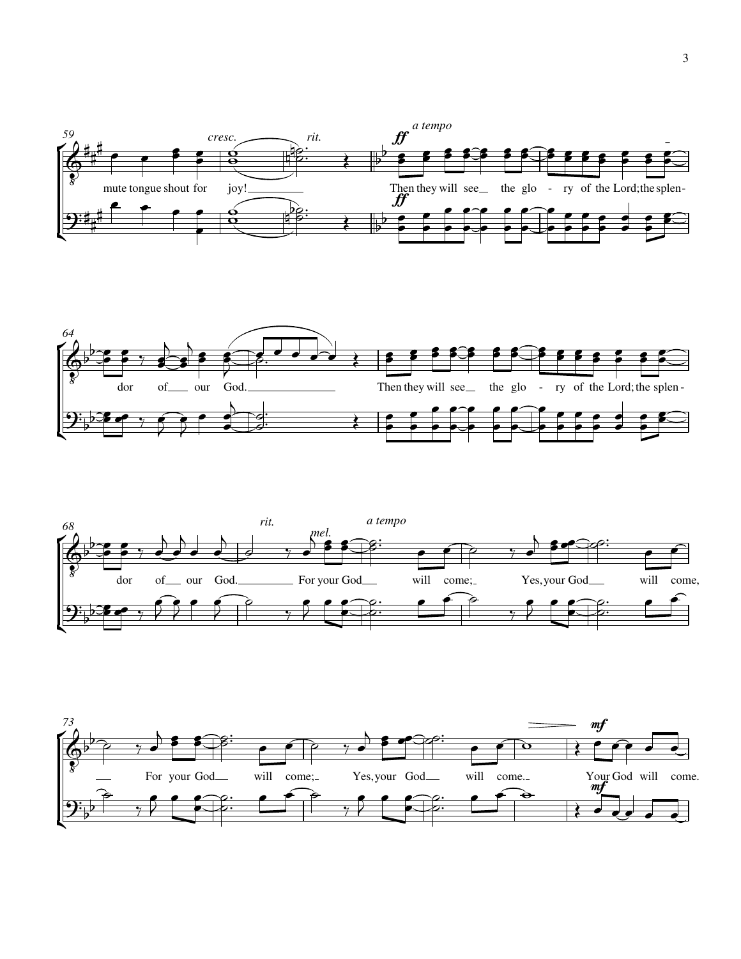